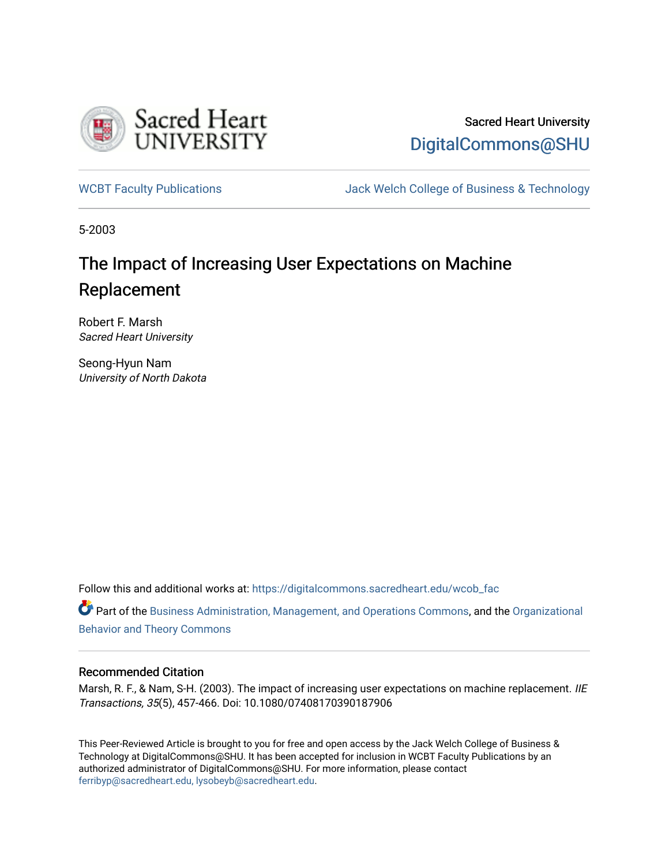

# Sacred Heart University [DigitalCommons@SHU](https://digitalcommons.sacredheart.edu/)

[WCBT Faculty Publications](https://digitalcommons.sacredheart.edu/wcob_fac) **MEGAL SERVINGS** Jack Welch College of Business & Technology

5-2003

# The Impact of Increasing User Expectations on Machine Replacement

Robert F. Marsh Sacred Heart University

Seong-Hyun Nam University of North Dakota

Follow this and additional works at: [https://digitalcommons.sacredheart.edu/wcob\\_fac](https://digitalcommons.sacredheart.edu/wcob_fac?utm_source=digitalcommons.sacredheart.edu%2Fwcob_fac%2F162&utm_medium=PDF&utm_campaign=PDFCoverPages)

Part of the [Business Administration, Management, and Operations Commons](http://network.bepress.com/hgg/discipline/623?utm_source=digitalcommons.sacredheart.edu%2Fwcob_fac%2F162&utm_medium=PDF&utm_campaign=PDFCoverPages), and the [Organizational](http://network.bepress.com/hgg/discipline/639?utm_source=digitalcommons.sacredheart.edu%2Fwcob_fac%2F162&utm_medium=PDF&utm_campaign=PDFCoverPages)  [Behavior and Theory Commons](http://network.bepress.com/hgg/discipline/639?utm_source=digitalcommons.sacredheart.edu%2Fwcob_fac%2F162&utm_medium=PDF&utm_campaign=PDFCoverPages) 

# Recommended Citation

Marsh, R. F., & Nam, S-H. (2003). The impact of increasing user expectations on machine replacement. IIE Transactions, 35(5), 457-466. Doi: 10.1080/07408170390187906

This Peer-Reviewed Article is brought to you for free and open access by the Jack Welch College of Business & Technology at DigitalCommons@SHU. It has been accepted for inclusion in WCBT Faculty Publications by an authorized administrator of DigitalCommons@SHU. For more information, please contact [ferribyp@sacredheart.edu, lysobeyb@sacredheart.edu.](mailto:ferribyp@sacredheart.edu,%20lysobeyb@sacredheart.edu)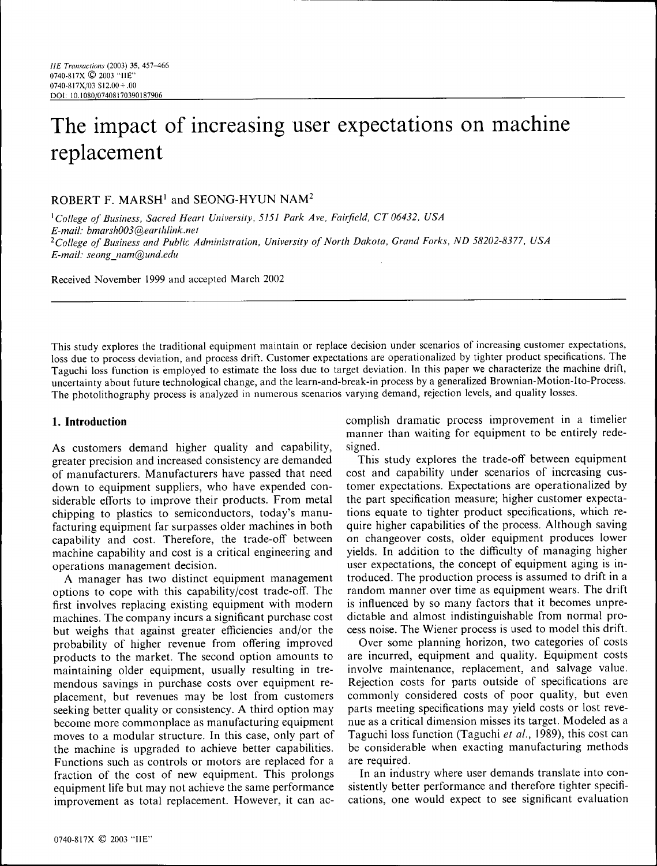# The impact of increasing user expectations on machine replacement

ROBERT F. MARSH<sup>1</sup> and SEONG-HYUN NAM<sup>2</sup>

<sup>1</sup> College of Business, Sacred Heart University, 5151 Park Ave, Fairfield, CT 06432, USA *F-maii: bmarsh003@eartiiiink.net* <sup>2</sup>College of Business and Public Administration, University of North Dakota, Grand Forks, ND 58202-8377, USA *F-maii: seong\_nam@und.edu*

Received November 1999 and accepted March 2002

This study explores the traditional equipment maintain or replace decision under scenarios of increasing customer expectations, loss due to process deviation, and process drift. Customer expectations are operationalized by tighter product specifications. The Taguchi loss function is employed to estimate the loss due to target deviation. In this paper we characterize the machine drift, uncertainty about future technological change, and the learn-and-break-in process by a generalized Brownian-Motion-Ito-Process. The photolithography process is analyzed in numerous scenarios varying demand, rejection levels, and quality losses.

# **1. Introduction**

As customers demand higher quality and capability, greater precision and increased consistency are demanded of manufacturers. Manufacturers have passed that need down to equipment suppliers, who have expended considerable efforts to improve their products. From metal chipping to plastics to semiconductors, today's manufacturing equipment far surpasses older machines in both capability and cost. Therefore, the trade-off between machine capability and cost is a critical engineering and operations management decision.

A manager has two distinct equipment management options to cope with this capability/cost trade-off. The first involves replacing existing equipment with modern machines. The company incurs a significant purchase cost but weighs that against greater efficiencies and/or the probability of higher revenue from offering improved products to the market. The second option amounts to maintaining older equipment, usually resulting in tremendous savings in purchase costs over equipment replacement, but revenues may be lost from customers seeking better quality or consistency. A third option may become more commonplace as manufacturing equipment moves to a modular structure. In this case, only part of the machine is upgraded to achieve better capabilities. Functions such as controls or motors are replaced for a fraction of the cost of new equipment. This prolongs equipment life but may not achieve the same performance improvement as total replacement. However, it can ac-

complish dramatic process improvement in a timelier manner than waiting for equipment to be entirely redesigned.

This study explores the trade-off between equipment cost and capability under scenarios of increasing customer expectations. Expectations are operationalized by the part specification measure; higher customer expectations equate to tighter product specifications, which require higher capabilities of the process. Although saving on changeover costs, older equipment produces lower yields. In addition to the difficulty of managing higher user expectations, the concept of equipment aging is introduced. The production process is assumed to drift in a random manner over time as equipment wears. The drift is influenced by so many factors that it becomes unpredictable and almost indistinguishable from normal process noise. The Wiener process is used to model this drift.

Over some planning horizon, two categories of costs are incurred, equipment and quality. Equipment costs involve maintenance, replacement, and salvage value. Rejection costs for parts outside of specifications are commonly considered costs of poor quality, but even parts meeting specifications may yield costs or lost revenue as a critical dimension misses its target. Modeled as a Taguchi loss function (Taguchi *et al.,* 1989), this cost can be considerable when exacting manufacturing methods are required.

In an industry where user demands translate into consistently better performance and therefore tighter specifications, one would expect to see significant evaluation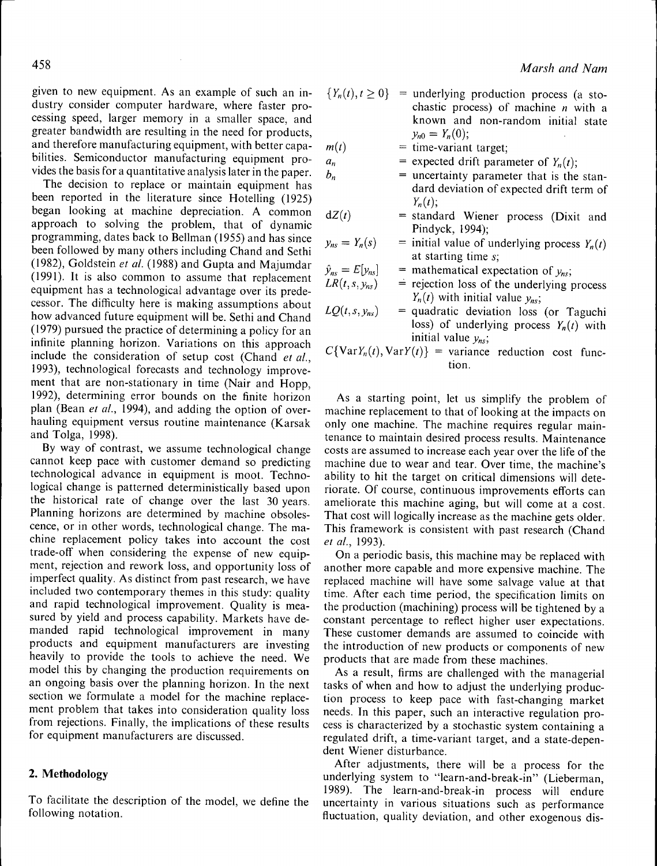given to new equipment. As an example of such an industry consider computer hardware, where faster processing speed, larger memory in a smaller space, and greater bandwidth are resulting in the need for products, and therefore manufacturing equipment, with better capabilities. Semiconductor manufacturing equipment provides the basis for a quantitative analysis later in the paper.

The decision to replace or maintain equipment has been reported in the literature since Hotelling (1925) began looking at machine depreciation. A common approach to solving the problem, that of dynamic programming, dates back to Bellman (1955) and has since been followed by many others including Chand and Sethi (1982), Goldstein *et al.* (1988) and Gupta and Majumdar (1991). It is also common to assume that replacement equipment has a technological advantage over its predecessor. The difficulty here is making assumptions about how advanced future equipment will be. Sethi and Chand (1979) pursued the practice of determining a policy for an infinite planning horizon. Variations on this approach include the consideration of setup cost (Chand *et al.,* 1993), technological forecasts and technology improvement that are non-stationary in time (Nair and Hopp, 1992), determining error bounds on the finite horizon plan (Bean *et al.,* 1994), and adding the option of overhauling equipment versus routine maintenance (Karsak and Tolga, 1998).

By way of contrast, we assume technological change cannot keep pace with customer demand so predicting technological advance in equipment is moot. Technological change is patterned deterministically based upon the historical rate of change over the last 30 years. Planning horizons are determined by machine obsolescence, or in other words, technological change. The machine replacement policy takes into account the cost trade-off when considering the expense of new equipment, rejection and rework loss, and opportunity Ioss of imperfect quality. As distinct from past research, we have included two contemporary themes in this study: quality and rapid technological improvement. Quality is measured by yield and process capability. Markets have demanded rapid technological improvement in many products and equipment manufacturers are investing heavily to provide the tools to achieve the need. We model this by changing the production requirements on an ongoing basis over the planning horizon. In the next section we formulate a model for the machine replacement problem that takes into consideration quality loss from rejections. Finally, the implications of these results for equipment manufacturers are discussed.

#### **2. Methodology**

To facilitate the description of the model, we define the following notation.

- ${Y_n(t), t \ge 0}$  = underlying production process (a stochastic process) of machine *n* with a known and non-random initial state<br> $y_{n0} = Y_n(0)$ ;
- $m(t)$  = time-variant target;
- $a_n$  = expected drift parameter of  $Y_n(t)$ ;
- $b_n$  = uncertainty parameter that is the standard deviation of expected drift term of *Yn{t)-*
- *dZ{t) =* standard Wiener process (Dixit and Pindyck, 1994);
- $y_{ns} = Y_n(s)$  = initial value of underlying process  $Y_n(t)$ at starting time *s;*
- $\hat{y}_{ns} = E[y_{ns}]$  = mathematical expectation of  $y_{ns}$ ;<br>*IR(t,s,y,)* = rejection loss of the underlying)

$$
LR(t, s, y_{ns}) = rejection loss of the underlying process
$$
  

$$
Y_n(t)
$$
 with initial value  $y_{ns}$ ;

- $LQ(t,s,y_{ns})$  = quadratic deviation loss (or Taguchi loss) of underlying process  $Y_n(t)$  with initial value y<sub>ns</sub>;
- $C\{\text{Var}Y_n(t),\text{Var}Y(t)\}$  = variance reduction cost function.

As a starting point, let us simplify the problem of machine replacement to that of looking at the impacts on only one machine. The machine requires regular maintenance to maintain desired process results. Maintenance costs are assumed to increase each year over the life of the machine due to wear and tear. Over time, the machine's ability to hit the target on critical dimensions will deteriorate. Of course, continuous improvements efforts can ameliorate this machine aging, but will come at a cost. That cost will logically increase as the machine gets older. This framework is consistent with past research (Chand *et al.,* 1993).

On a periodic basis, this machine may be replaced with another more capable and more expensive machine. The replaced machine will have some salvage value at that time. After each time period, the specification limits on the production (machining) process will be tightened by a constant percentage to refiect higher user expectations. These customer demands are assumed to coincide with the introduction of new products or components of new products that are made from these machines.

As a result, firms are challenged with the managerial tasks of when and how to adjust the underlying production process to keep pace with fast-changing market needs. In this paper, such an interactive regulation process is characterized by a stochastic system containing a regulated drift, a time-variant target, and a state-dependent Wiener disturbance.

After adjustments, there will be a process for the underlying system to "learn-and-break-in" (Lieberman, 1989). The learn-and-break-in process will endure uncertainty in various situations such as performance fiuctuation, quality deviation, and other exogenous dis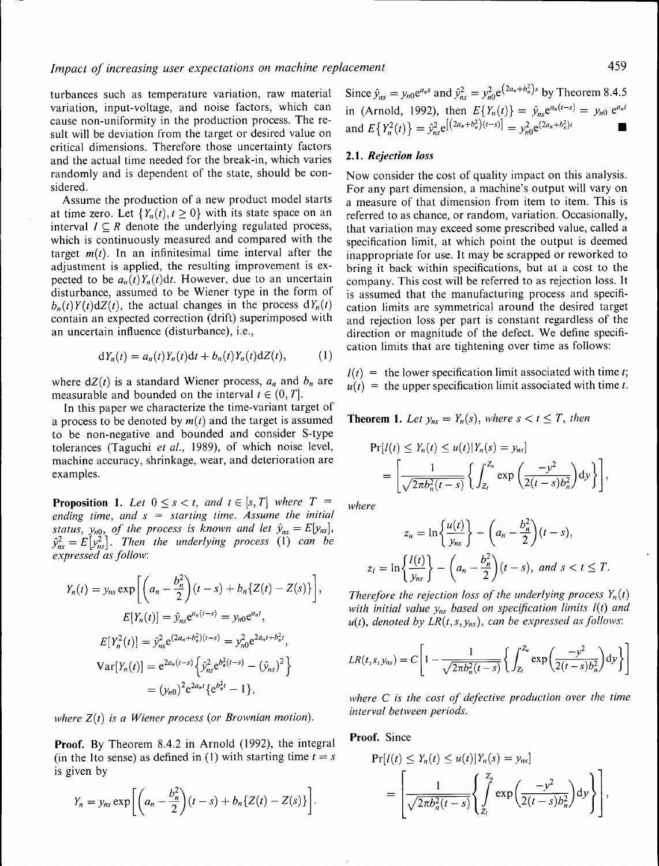turbances such as temperature variation, raw material variation, input-voltage, and noise factors, which can cause non-uniformity in the production process. The result will be deviation from the target or desired value on critical dimensions. Therefore those uncertainty factors and the actual time needed for the break-in, which varies randomly and is dependent of the state, should be considered.

Assume the production of a new product model starts at time zero. Let  ${Y_n(t), t \ge 0}$  with its state space on an interval  $I \subseteq R$  denote the underlying regulated process, which is continuously measured and compared with the target  $m(t)$ . In an infinitesimal time interval after the adjustment is applied, the resulting improvement is expected to be  $a_n(t)Y_n(t)dt$ . However, due to an uncertain disturbance, assumed to be Wiener type in the form of  $b_n(t)Y(t) dZ(t)$ , the actual changes in the process  $dY_n(t)$ contain an expected correction (drift) superimposed with an uncertain infiuence (disturbance), i.e..

$$
dY_n(t) = a_n(t)Y_n(t)dt + b_n(t)Y_n(t)dZ(t), \qquad (1)
$$

where  $dZ(t)$  is a standard Wiener process,  $a_n$  and  $b_n$  are measurable and bounded on the interval  $t \in (0, T]$ .

In this paper we characterize the time-variant target of a process to be denoted by  $m(t)$  and the target is assumed to be non-negative and bounded and consider S-type tolerances (Taguchi *et al.,* 1989), of which noise level, machine accuracy, shrinkage, wear, and deterioration are examples.

**Proposition 1.** Let  $0 \leq s < t$ , and  $t \in [s, T]$  where  $T =$ ending time, and  $s =$  starting time. Assume the initial status,  $y_{n0}$ , of the process is known and let  $\hat{y}_{ns} = E[y_{ns}]$ ,  $\hat{y}_{ns}^2 = E|y_{ns}^2|$ . Then the underlying process (1) can be *expressed as follow:*

$$
Y_n(t) = y_{ns} \exp\left[\left(a_n - \frac{b_n^2}{2}\right)(t-s) + b_n\{Z(t) - Z(s)\}\right],
$$
  
\n
$$
E[Y_n(t)] = \hat{y}_{ns}e^{a_n(t-s)} = y_{n0}e^{a_nt},
$$
  
\n
$$
E[Y_n^2(t)] = \hat{y}_{ns}^2e^{(2a_n+b_n^2)(t-s)} = y_{n0}^2e^{2a_nt+b_n^2t},
$$
  
\n
$$
Var[Y_n(t)] = e^{2a_n(t-s)}\left\{\hat{y}_{ns}^2e^{b_n^2(t-s)} - (\hat{y}_{ns})^2\right\}
$$
  
\n
$$
= (y_{n0})^2e^{2a_nt}\left\{e^{b_n^2t} - 1\right\},
$$

*where Z{f) is a Wiener process (or Brownian motion).*

**Proof.** By Theorem 8.4.2 in Arnold (1992), the integral (in the Ito sense) as defined in (1) with starting time  $t = s$ is given by

$$
Y_n = y_{ns} \exp\bigg[\bigg(a_n - \frac{b_n^2}{2}\bigg)(t-s) + b_n\{Z(t) - Z(s)\}\bigg].
$$

Since  $\hat{y}_{ns} = y_{n0}e^{a_n s}$  and  $\hat{y}_{ns}^2 = y_{n0}^2e^{(2a_n + b_n^*)s}$  by Theorem 8.4.5 in (Arnold, 1992), then  $E{Y_n(t)} = \hat{y}_{ns}e^{a_n(t-s)} = y_{n0}e^{a_n t}$ and  $E\{Y_n^2(t)\} = \hat{y}_{ns}^2 e^{\left[(2a_n+b_n^2)(t-s)\right]} = y_{sn}^2 e^{(2a_n+b_n^2)t}$ 

## 2.1. Rejection loss

Now consider the cost of quality impact on this analysis. For any part dimension, a machine's output will vary on a measure of that dimension from item to item. This is referred to as chance, or random, variation. Occasionally, that variation may exceed some prescribed value, called a specification limit, at which point the output is deemed inappropriate for use. It may be scrapped or reworked to bring it back within specifications, but at a cost to the company. This cost will be referred to as rejection loss. It is assumed that the manufacturing process and specification limits are symmetrical around the desired target and rejection loss per part is constant regardless of the direction or magnitude of the defect. We define specification limits that are tightening over time as follows:

 $l(t) =$  the lower specification limit associated with time *t*;  $u(t)$  = the upper specification limit associated with time t.

**Theorem 1.** Let  $y_{ns} = Y_n(s)$ , where  $s < t \leq T$ , then

$$
\Pr[l(t) \leq Y_n(t) \leq u(t)|Y_n(s) = y_{ns}]
$$
  
= 
$$
\left[\frac{1}{\sqrt{2\pi b_n^2(t-s)}}\left\{\int_{Z_t}^{Z_u} \exp\left(\frac{-y^2}{2(t-s)b_n^2}\right)dy\right\}\right],
$$

*where*

$$
z_u = \ln\left\{\frac{u(t)}{y_{ns}}\right\} - \left(a_n - \frac{b_n^2}{2}\right)(t - s),
$$
  

$$
z_l = \ln\left\{\frac{l(t)}{y_{ns}}\right\} - \left(a_n - \frac{b_n^2}{2}\right)(t - s), \text{ and } s < t \leq T.
$$

*Therefore the rejection loss of the underlying process*  $Y_n(t)$ *with initial value yns based on specification limits l{t) and*  $u(t)$ , denoted by  $LR(t, s, y_{ns})$ , can be expressed as follows:

$$
LR(t,s,y_{ns})=C\left[1-\frac{1}{\sqrt{2\pi b_n^2(t-s)}}\left\{\int_{Z_t}^{Z_u}\exp\left(\frac{-y^2}{2(t-s)b_n^2}\right)dy\right\}\right]
$$

*where C is the cost of defective production over the time interval between periods.*

**Proof.** Since

$$
\Pr[l(t) \leq Y_n(t) \leq u(t)|Y_n(s) = y_{ns}]
$$
  
= 
$$
\left[\frac{1}{\sqrt{2\pi b_n^2(t-s)}}\left\{\int_{Z_t}^{Z_u} \exp\left(\frac{-y^2}{2(t-s)b_n^2}\right)dy\right\}\right],
$$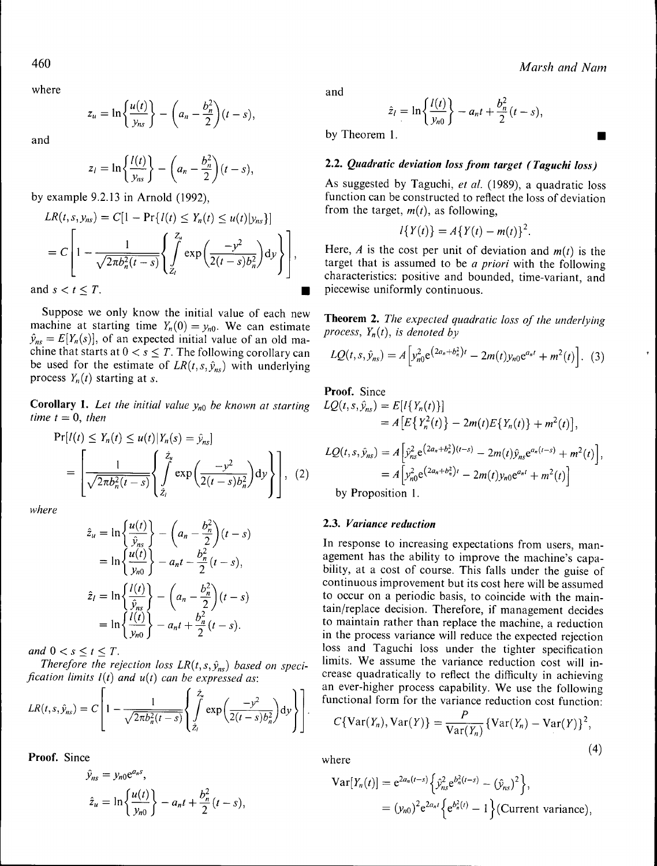460

where

$$
z_u = \ln\left\{\frac{u(t)}{y_{ns}}\right\} - \left(a_n - \frac{b_n^2}{2}\right)(t-s),
$$

and

$$
z_l = \ln\left\{\frac{l(t)}{y_{ns}}\right\} - \left(a_n - \frac{b_n^2}{2}\right)(t-s),
$$

by example 9.2.13 in Arnold (1992),

$$
LR(t, s, y_{ns}) = C[1 - \Pr\{l(t) \le Y_n(t) \le u(t)|y_{ns}\}]
$$
  
= 
$$
C\left[1 - \frac{1}{\sqrt{2\pi b_n^2(t-s)}} \left\{\int_{Z_l}^{Z_u} \exp\left(\frac{-y^2}{2(t-s)b_n^2}\right) dy\right\}\right],
$$
  
and  $s < t \le T$ .

Suppose we only know the initial value of each new machine at starting time  $Y_n(0) = y_{n0}$ . We can estimate  $\hat{y}_{ns} = E[Y_n(s)]$ , of an expected initial value of an old machine that starts at  $0 < s \leq T$ . The following corollary can be used for the estimate of  $LR(t,s,\hat{y}_{ns})$  with underlying process *Yn{t)* starting at *s.*

**Corollary 1.** Let the initial value  $y_{n0}$  be known at starting *time*  $t = 0$ *, then* 

$$
\Pr[l(t) \le Y_n(t) \le u(t)|Y_n(s) = \hat{y}_{ns}]
$$
  
= 
$$
\left[\frac{1}{\sqrt{2\pi b_n^2(t-s)}} \left\{ \int_{\hat{Z}_l}^{\hat{Z}_u} \exp\left(\frac{-y^2}{2(t-s)b_n^2}\right) dy \right\} \right], (2)
$$

*witere*

$$
\hat{z}_u = \ln\left\{\frac{u(t)}{\hat{y}_{ns}}\right\} - \left(a_n - \frac{b_n^2}{2}\right)(t-s)
$$
\n
$$
= \ln\left\{\frac{u(t)}{y_{n0}}\right\} - a_n t - \frac{b_n^2}{2}(t-s),
$$
\n
$$
\hat{z}_l = \ln\left\{\frac{l(t)}{\hat{y}_{ns}}\right\} - \left(a_n - \frac{b_n^2}{2}\right)(t-s)
$$
\n
$$
= \ln\left\{\frac{l(t)}{y_{n0}}\right\} - a_n t + \frac{b_n^2}{2}(t-s).
$$

*and*  $0 < s \le t \le T$ *.* 

*Therefore the rejection loss*  $LR(t, s, \hat{y}_n)$  *based on specification iimits i{t) and u{t) can be expressed as:*

$$
LR(t,s,\hat{y}_{ns})=C\left[1-\frac{1}{\sqrt{2\pi b_n^2(t-s)}}\left\{\int\limits_{\hat{Z}_t}^{\hat{Z}_u}\exp\left(\frac{-y^2}{2(t-s)b_n^2}\right)dy\right\}\right].
$$

**Proof.** Since

$$
\hat{y}_{ns} = y_{n0}e^{a_n s},
$$
\n
$$
\hat{z}_u = \ln\left\{\frac{u(t)}{y_{n0}}\right\} - a_nt + \frac{b_n^2}{2}(t-s),
$$

and

$$
\hat{z}_l = \ln\left\{\frac{l(t)}{y_{n0}}\right\} - a_n t + \frac{b_n^2}{2}(t-s),
$$

by Theorem 1.

# **2.2.** *Quadratic deviation loss from target (Taguchi loss)*

As suggested by Taguchi, *et al.* (1989), a quadratic loss function can be constructed to reflect the loss of deviation from the target,  $m(t)$ , as following.

$$
l\{Y(t)\}=A\{Y(t)-m(t)\}^2
$$

Here, *A* is the cost per unit of deviation and *m{t)* is the target that is assumed to be *a priori* with the following characteristics: positive and bounded, time-variant, and piecewise uniformly continuous.

**Theorem 2.** *Tiie expected quadratic ioss of the underlying process, Yn{t), is denoted by*

$$
LQ(t,s,\hat{y}_{ns}) = A\Big[y_{n0}^2 e^{(2a_n+b_n^2)t} - 2m(t)y_{n0}e^{a_nt} + m^2(t)\Big].
$$
 (3)

Proof. Since

$$
LQ(t, s, \hat{y}_{ns}) = E[l\{Y_n(t)\}]
$$
  
=  $A[E\{Y_n^2(t)\} - 2m(t)E\{Y_n(t)\} + m^2(t)],$   

$$
LQ(t, s, \hat{y}_{ns}) = A\left[\hat{y}_{ns}^2 e^{(2a_n + b_n^2)(t-s)} - 2m(t)\hat{y}_{ns}e^{a_n(t-s)} + m^2(t)\right],
$$
  
=  $A\left[y_{n0}^2 e^{(2a_n + b_n^2)t} - 2m(t)y_{n0}e^{a_n t} + m^2(t)\right]$ 

by Proposition 1.

#### **2.3.** *Variance reduction*

In response to increasing expectations from users, management has the ability to improve the machine's capability, at a cost of course. This falls under the guise of continuous improvement but its cost here will be assumed to occur on a periodic basis, to coincide with the maintain/replace decision. Therefore, if management decides to maintain rather than replace the machine, a reduction in the process variance will reduce the expected rejection loss and Taguchi loss under the tighter specification limits. We assume the variance reduction cost will increase quadratically to reflect the difficulty in achieving an ever-higher process capability. We use the following functional form for the variance reduction cost function:

$$
C\{\operatorname{Var}(Y_n), \operatorname{Var}(Y)\} = \frac{P}{\operatorname{Var}(Y_n)} \{\operatorname{Var}(Y_n) - \operatorname{Var}(Y)\}^2,
$$
\n(4)

where

$$
\begin{aligned} \text{Var}[Y_n(t)] &= e^{2a_n(t-s)} \left\{ \hat{y}_{ns}^2 e^{b_n^2(t-s)} - (\hat{y}_{ns})^2 \right\}, \\ &= (y_{n0})^2 e^{2a_n t} \left\{ e^{b_n^2(t)} - 1 \right\} \text{(Current variance)}, \end{aligned}
$$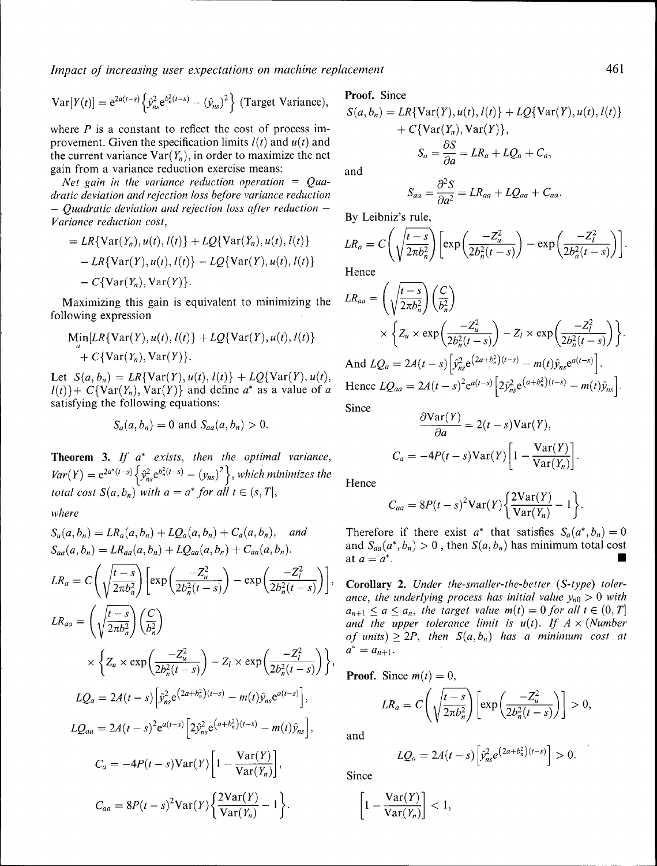*Impact of increasing user expectations on machine replacement*

$$
\text{Var}[Y(t)] = e^{2a(t-s)} \left\{ \hat{y}_{ns}^2 e^{b_n^2(t-s)} - (\hat{y}_{ns})^2 \right\} \text{ (Target Variance)},
$$

where  $P$  is a constant to reflect the cost of process improvement. Given the specification limits  $l(t)$  and  $u(t)$  and the current variance  $Var(Y_n)$ , in order to maximize the net gain from a variance reduction exercise means:  $\qquad \qquad \text{and}$ 

*Net gain in the variance reduction operation = Quadratic deviation and rejection loss before variance reduction ^aa = — Quadratic deviation and rejection loss after reduction — Variance reduction cost,* <sup>*Variance reduction cost,* **By Leibniz's rule.**</sup>

$$
= LR\{\text{Var}(Y_n), u(t), l(t)\} + LQ\{\text{Var}(Y_n), u(t), l(t)\}\
$$

$$
- LR\{\text{Var}(Y), u(t), l(t)\} - LQ\{\text{Var}(Y), u(t), l(t)\}\
$$

$$
- C\{\text{Var}(Y_n), \text{Var}(Y)\}.
$$

Maximizing this gain is equivalent to minimizing the following expression

$$
\begin{aligned} \underset{a}{\text{Min}}[LR\{\text{Var}(Y), u(t), l(t)\} + LQ\{\text{Var}(Y), u(t), l(t)\} \\ &+ C\{\text{Var}(Y_n), \text{Var}(Y)\}. \end{aligned}
$$

Let  $S(a, b_n) = LR\{\text{Var}(Y), u(t), l(t)\} + LQ\{\text{Var}(Y), u(t),$  $l(t)$  +  $C$ {Var(Y<sub>n</sub>), Var(Y)} and define  $a^*$  as a value of a satisfying the following equations: Since

$$
S_a(a, b_n) = 0 \text{ and } S_{aa}(a, b_n) > 0
$$

**Theorem 3.** *If a\* exists, then the optimal variance,*  $Var(Y) = e^{2a^*(t-s)} \left\{ \hat{y}_{ns}^2 e^{b_n^2(t-s)} - (y_{ns})^2 \right\}$ , which minimizes the *total cost*  $S(a, b_n)$  *with a = a\* for all t*  $\in$   $(s, T]$ ,

*where*

$$
S_a(a, b_n) = LR_a(a, b_n) + LQ_a(a, b_n) + C_a(a, b_n), \text{ and}
$$
  
\n
$$
S_{aa}(a, b_n) = LR_{aa}(a, b_n) + LQ_{aa}(a, b_n) + C_{aa}(a, b_n).
$$
  
\n
$$
LR_a = C\left(\sqrt{\frac{t-s}{2\pi b_n^2}}\right) \left[\exp\left(\frac{-Z_u^2}{2b_n^2(t-s)}\right) - \exp\left(\frac{-Z_l^2}{2b_n^2(t-s)}\right)\right],
$$
  
\n
$$
LR_{aa} = \left(\sqrt{\frac{t-s}{2\pi b_n^2}}\right) \left(\frac{C}{b_n^2}\right)
$$
  
\n
$$
\times \left\{Z_u \times \exp\left(\frac{-Z_u^2}{2b_n^2(t-s)}\right) - Z_l \times \exp\left(\frac{-Z_l^2}{2b_n^2(t-s)}\right)\right\},
$$
  
\n
$$
LQ_a = 2A(t-s) \left[\hat{y}_{ns}^2 e^{(2a+b_n^2)(t-s)} - m(t)\hat{y}_{ns} e^{a(t-s)}\right],
$$
  
\n
$$
LQ_{aa} = 2A(t-s)^2 e^{a(t-s)} \left[2\hat{y}_{ns}^2 e^{(a+b_n^2)(t-s)} - m(t)\hat{y}_{ns}\right],
$$
  
\n
$$
C_a = -4P(t-s)\text{Var}(Y) \left[1 - \frac{\text{Var}(Y)}{\text{Var}(Y_n)}\right],
$$
  
\n
$$
C_{aa} = 8P(t-s)^2 \text{Var}(Y) \left\{\frac{2\text{Var}(Y)}{\text{Var}(Y_n)} - 1\right\}.
$$

**Proof.** Since

$$
S(a, b_n) = LR\{\text{Var}(Y), u(t), l(t)\} + LQ\{\text{Var}(Y), u(t), l(t)\}
$$

$$
+ C\{\text{Var}(Y_n), \text{Var}(Y)\},
$$

$$
S_a = \frac{\partial S}{\partial a} = LR_a + LQ_a + C_a,
$$

$$
S_{aa}=\frac{\partial^2 S}{\partial a^2}=LR_{aa}+LQ_{aa}+C_{aa}
$$

$$
LR_a = C\left(\sqrt{\frac{t-s}{2\pi b_n^2}}\right) \left[\exp\left(\frac{-Z_u^2}{2b_n^2(t-s)}\right) - \exp\left(\frac{-Z_l^2}{2b_n^2(t-s)}\right)\right].
$$
  
Hence

Hence

$$
LR_{aa} = \left(\sqrt{\frac{t-s}{2\pi b_n^2}}\right) \left(\frac{C}{b_n^2}\right)
$$
  
 
$$
\times \left\{Z_u \times \exp\left(\frac{-Z_u^2}{2b_n^2(t-s)}\right) - Z_l \times \exp\left(\frac{-Z_l^2}{2b_n^2(t-s)}\right)\right\}.
$$
  
And  $LQ_a = 2A(t-s) \left[\hat{y}_{ns}^2 e^{(2a+b_n^2)(t-s)} - m(t)\hat{y}_{ns} e^{a(t-s)}\right].$   
Hence  $LQ_{aa} = 2A(t-s)^2 e^{a(t-s)} \left[2\hat{y}_{ns}^2 e^{(a+b_n^2)(t-s)} - m(t)\hat{y}_{ns}\right].$ 

$$
\frac{\partial \text{Var}(Y)}{\partial a} = 2(t - s) \text{Var}(Y),
$$

$$
C_a = -4P(t - s) \text{Var}(Y) \left[ 1 - \frac{\text{Var}(Y)}{\text{Var}(Y_n)} \right].
$$

**Hence** 

$$
C_{aa}=8P(t-s)^2\mathrm{Var}(Y)\bigg\{\frac{2\mathrm{Var}(Y)}{\mathrm{Var}(Y_n)}-1\bigg\}.
$$

Therefore if there exist  $a^*$  that satisfies  $S_a(a^*,b_n) = 0$ and  $S_{aa}(a^*,b_n) > 0$ , then  $S(a,b_n)$  has minimum total cost at  $a = a^*$ .

**Corollary 2.** *Under the-smaller-the-better {S-type) tolerance, the underlying process has initial value*  $y_{n0} > 0$  *with*  $a_{n+1} \le a \le a_n$ , the target value  $m(t) = 0$  for all  $t \in (0, T]$ and the upper tolerance limit is  $u(t)$ . If  $A \times (Number$ *of units)*  $\geq$  2P, then  $S(a, b_n)$  has a minimum cost at  $a^* = a_{n+1}$ .

**Proof.** Since  $m(t) = 0$ ,

$$
LR_a = C\left(\sqrt{\frac{t-s}{2\pi b_n^2}}\right) \left[\exp\left(\frac{-Z_u^2}{2b_n^2(t-s)}\right)\right] > 0,
$$

and

$$
LQ_a = 2A(t-s)\left[\hat{y}_{ns}^2 e^{\left(2a+b_n^2\right)(t-s)}\right] > 0.
$$

Since

$$
\left[1-\frac{\text{Var}(Y)}{\text{Var}(Y_n)}\right] < 1,
$$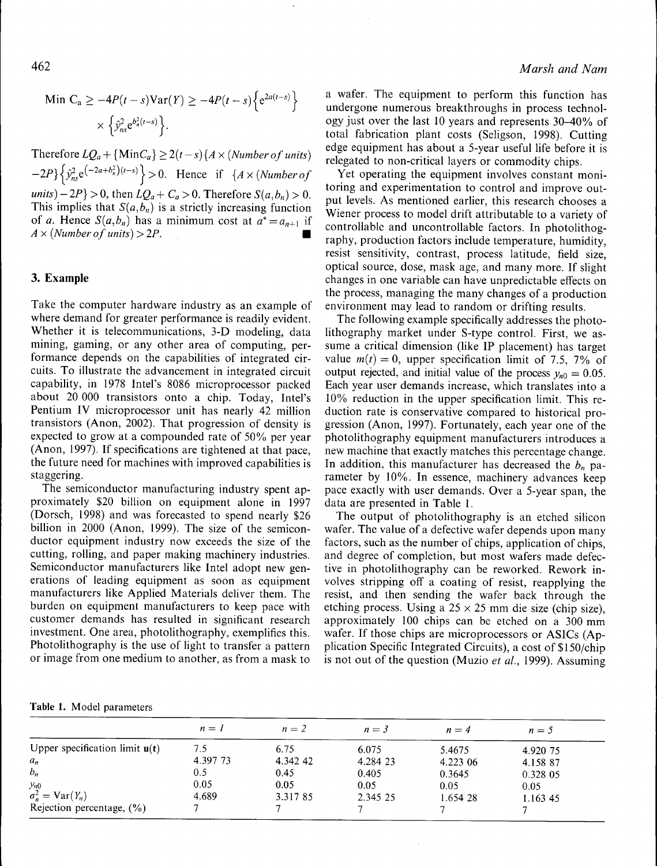Min C<sub>a</sub> 
$$
\geq -4P(t-s)\text{Var}(Y) \geq -4P(t-s)\left\{e^{2a(t-s)}\right\}
$$
  
  $\times \left\{\hat{y}_{ns}^2e^{\hat{b}_n^2(t-s)}\right\}.$ 

Therefore  $LQ_a + {MinC_a} \ge 2(t-s){A \times (Number of units)}$  $-2P$ } $\left\{\hat{y}_{ns}^{2}e^{(-2a+b_{n}^{2})(t-s)}\right\}>0$ . Hence if  $\left\{A \times (Number\ of\right\}$ *units*)  $-2P$  > 0, then  $LQ_a + C_a > 0$ . Therefore  $S(a,b_n) > 0$ . This implies that  $S(a,b_n)$  is a strictly increasing function of *a*. Hence  $S(a,b_n)$  has a minimum cost at  $a^* = a_{n+1}$  if  $A \times (Number of units) > 2P$ .

### **3. Example**

Take the computer hardware industry as an example of where demand for greater performance is readily evident. Whether it is telecommunications, 3-D modeling, data mining, gaming, or any other area of computing, performance depends on the capabilities of integrated circuits. To illustrate the advancement in integrated circuit capability, in 1978 Intel's 8086 microprocessor packed about 20 000 transistors onto a chip. Today, Intel's Pentium IV microprocessor unit has nearly 42 million transistors (Anon, 2002). That progression of density is expected to grow at a compounded rate of 50% per year (Anon, 1997). If specifications are tightened at that pace, the future need for machines with improved capabilities is staggering.

The semiconductor manufacturing industry spent approximately \$20 billion on equipment alone in 1997 (Dorsch, 1998) and was forecasted to spend nearly \$26 billion in 2000 (Anon, 1999). The size of the semiconductor equipment industry now exceeds the size of the cutting, rolling, and paper making machinery industries. Semiconductor manufacturers like Intel adopt new generations of leading equipment as soon as equipment manufacturers like Applied Materials deliver them. The burden on equipment manufacturers to keep pace with customer demands has resulted in significant research investment. One area, photolithography, exemplifies this. Photolithography is the use of light to transfer a pattern or image from one medium to another, as from a mask to

a wafer. The equipment to perform this function has undergone numerous breakthroughs in process technology just over the last 10 years and represents 30-40% of total fabrication plant costs (Seligson, 1998). Cutting edge equipment has about a 5-year useful life before it is relegated to non-critical layers or commodity chips.

Yet operating the equipment involves constant monitoring and experimentation to control and improve output levels. As mentioned earlier, this research chooses a Wiener process to model drift attributable to a variety of controllable and uncontrollable factors. In photolithography, production factors include temperature, humidity, resist sensitivity, contrast, process latitude, field size, optical source, dose, mask age, and many more. If slight changes in one variable can have unpredictable effects on the process, managing the many changes of a production environment may lead to random or drifting results.

The following example specifically addresses the photolithography market under S-type control. First, we assume a critical dimension (like IP placement) has target value  $m(t) = 0$ , upper specification limit of 7.5, 7% of output rejected, and initial value of the process  $y_{n0} = 0.05$ . Each year user demands increase, which translates into a 10% reduction in the upper specification limit. This reduction rate is conservative compared to historical progression (Anon, 1997). Fortunately, each year one of the photolithography equipment manufacturers introduces a new machine that exactly matches this percentage change. In addition, this manufacturer has decreased the  $b_n$  parameter by 10%. In essence, machinery advances keep pace exactly with user demands. Over a 5-year span, the data are presented in Table 1.

The output of photolithography is an etched silicon wafer. The value of a defective wafer depends upon many factors, such as the number of chips, application of chips, and degree of completion, but most wafers made defective in photolithography can be reworked. Rework involves stripping off a coating of resist, reapplying the resist, and then sending the wafer back through the etching process. Using a  $25 \times 25$  mm die size (chip size), approximately 100 chips can be etched on a 300 mm wafer. If those chips are microprocessors or ASICs (Application Specific Integrated Circuits), a cost of \$150/chip is not out of the question (Muzio *et al.,* 1999). Assuming

**Table 1.** Model parameters

|                                       | $n = 1$  | $n=2$    | $n=3$    | $n=4$    | $n=5$    |
|---------------------------------------|----------|----------|----------|----------|----------|
| Upper specification limit $u(t)$      | 7.5      | 6.75     | 6.075    | 5.4675   | 4.920 75 |
| $a_n$                                 | 4.397 73 | 4.342.42 | 4.284 23 | 4.223 06 | 4.158 87 |
| $b_n$                                 | 0.5      | 0.45     | 0.405    | 0.3645   | 0.328 05 |
| $y_{n0}$                              | 0.05     | 0.05     | 0.05     | 0.05     | 0.05     |
| $\sigma_n^2 = \text{Var}(Y_n)$        | 4.689    | 3.31785  | 2.345 25 | 1.654 28 | 1.163 45 |
| Rejection percentage, $(\frac{6}{6})$ |          |          |          |          |          |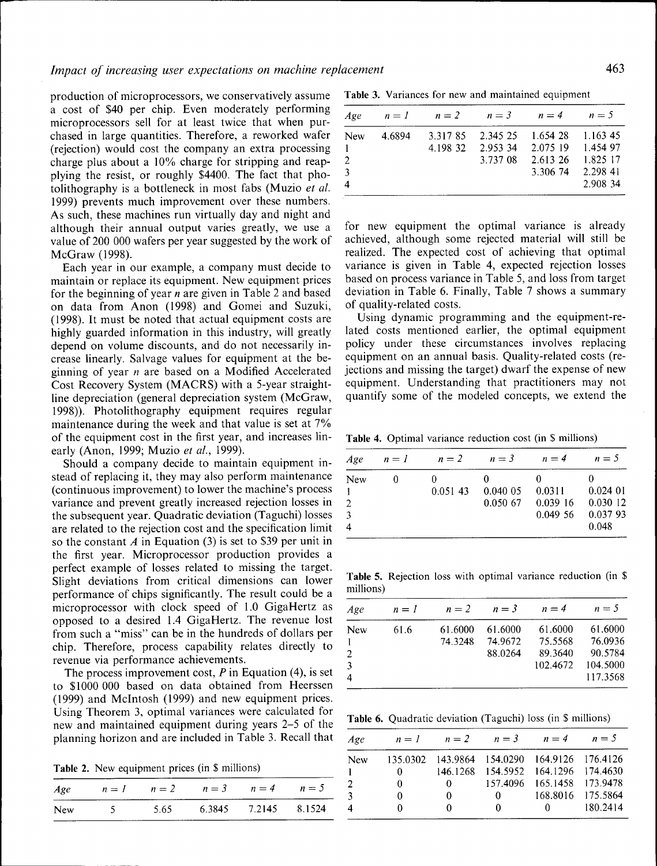production of microprocessors, we conservatively assume a cost of \$40 per chip. Even moderately performing microprocessors sell for at least twice that when purchased in large quantities. Therefore, a reworked wafer (rejection) would cost the company an extra processing charge plus about a 10% charge for stripping and reapplying the resist, or roughly \$4400. The fact that photolithography is a bottleneck in most fabs (Muzio *et ai.* 1999) prevents much improvement over these numbers. As such, these machines run virtually day and night and although their annual output varies greatly, we use a value of 200 000 wafers per year suggested by the work of McGraw (1998).

Each year in our example, a company must decide to maintain or replace its equipment. New equipment prices for the beginning of year *n* are given in Table 2 and based on data from Anon (1998) and Gomei and Suzuki, (1998). It must be noted that actual equipment costs are highly guarded information in this industry, will greatly depend on volume discounts, and do not necessarily increase linearly. Salvage values for equipment at the beginning of year *n* are based on a Modified Accelerated Cost Recovery System (MACRS) with a 5-year straightline depreciation (general depreciation system (McGraw, 1998)). Photolithography equipment requires regular maintenance during the week and that value is set at 7% of the equipment cost in the first year, and increases linearly (Anon, 1999; Muzio *et al.,* 1999).

Should a company decide to maintain equipment instead of replacing it, they may also perform maintenance (continuous improvement) to lower the machine's process variance and prevent greatly increased rejection losses in the subsequent year. Quadratic deviation (Taguchi) losses are related to the rejection cost and the specification limit so the constant *A* in Equation (3) is set to \$39 per unit in the first year. Microprocessor production provides a perfect example of losses related to missing the target. Slight deviations from critical dimensions can lower performance of chips significantly. The result could be a microprocessor with clock speed of 1.0 GigaHertz as opposed to a desired 1.4 GigaHertz. The revenue lost from such a "miss" can be in the hundreds of dollars per chip. Therefore, process capability relates directly to revenue via performance achievements.

The process improvement cost, *P* in Equation (4), is set to \$1000 000 based on data obtained from Heerssen (1999) and Mclntosh (1999) and new equipment prices. Using Theorem 3, optimal variances were calculated for new and maintained equipment during years 2-5 of the planning horizon and are included in Table 3. Recall that

**Table** 2. New equipment prices (in \$ millions)

|            | Age $n = 1$ $n = 2$ $n = 3$ $n = 4$ $n = 5$ |  |  |
|------------|---------------------------------------------|--|--|
| <b>New</b> | 5 5.65 6.3845 7.2145 8.1524                 |  |  |

**Table 3.** Variances for new and maintained equipment

| Age                                                             |        | $n=1$ $n=2$ $n=3$ $n=4$ |          |                                                                                                             | $n=5$                |
|-----------------------------------------------------------------|--------|-------------------------|----------|-------------------------------------------------------------------------------------------------------------|----------------------|
| <b>New</b><br>$\mathbf{1}$<br>2<br>3<br>$\overline{\mathbf{4}}$ | 4.6894 |                         | 3.737.08 | 3.317 85 2.345 25 1.654 28 1.163 45<br>4.198 32 2.953 34 2.075 19 1.454 97<br>2.613 26<br>3.306 74 2.298 41 | 1.825 17<br>2.908 34 |

for new equipment the optimal variance is already achieved, although some rejected material will still be realized. The expected cost of achieving that optimal variance is given in Table 4, expected rejection losses based on process variance in Table 5, and loss from target deviation in Table 6. Finally, Table 7 shows a summary of quality-related costs.

Using dynamic programming and the equipment-related costs mentioned earlier, the optimal equipment policy under these circumstances involves replacing equipment on an annual basis. Quality-related costs (rejections and missing the target) dwarf the expense of new equipment. Understanding that practitioners may not quantify some of the modeled concepts, we extend the

**Table 4.** Optimal variance reduction cost (in S millions)

| Age        | $n = I$ | $n=2$    | $n=3$    | $n = 4$  | $n=5$      |
|------------|---------|----------|----------|----------|------------|
| <b>New</b> |         |          |          |          |            |
|            |         | 0.051.43 | 0.04005  | 0.0311   | $0.024$ 01 |
| 2          |         |          | 0.050 67 | 0.039 16 | 0.030 12   |
| 3          |         |          |          | 0.049 56 | 0.037 93   |
| 4          |         |          |          |          | 0.048      |

**Table 5.** Rejection loss with optimal variance reduction **(in \$** millions)

| Age        | $n = I$ | $n=2$   | $n=3$   | $n=4$    | $n=5$    |
|------------|---------|---------|---------|----------|----------|
| <b>New</b> | 61.6    | 61.6000 | 61.6000 | 61.6000  | 61.6000  |
|            |         | 74.3248 | 74.9672 | 75.5568  | 76.0936  |
| 2          |         |         | 88.0264 | 89.3640  | 90.5784  |
| 3          |         |         |         | 102.4672 | 104.5000 |
| 4          |         |         |         |          | 117.3568 |
|            |         |         |         |          |          |

**Table 6.** Quadratic deviation (Taguchi) loss (in \$ millions)

| Age              |          |              | $n=1$ $n=2$ $n=3$ $n=4$                      |                            | $n=5$    |
|------------------|----------|--------------|----------------------------------------------|----------------------------|----------|
| <b>New</b>       |          |              | 135.0302 143.9864 154.0290 164.9126 176.4126 |                            |          |
| $\mathbf{1}$     | $\Omega$ |              | 146.1268 154.5952 164.1296 174.4630          |                            |          |
| $\overline{2}$   | 0        | $\mathbf{0}$ |                                              | 157.4096 165.1458 173.9478 |          |
| 3                | 0        | - 0          | $\begin{array}{c} 0 \end{array}$             | 168.8016 175.5864          |          |
| $\boldsymbol{4}$ | $\Omega$ | $\Omega$     | ∩                                            | $\sim 0$                   | 180.2414 |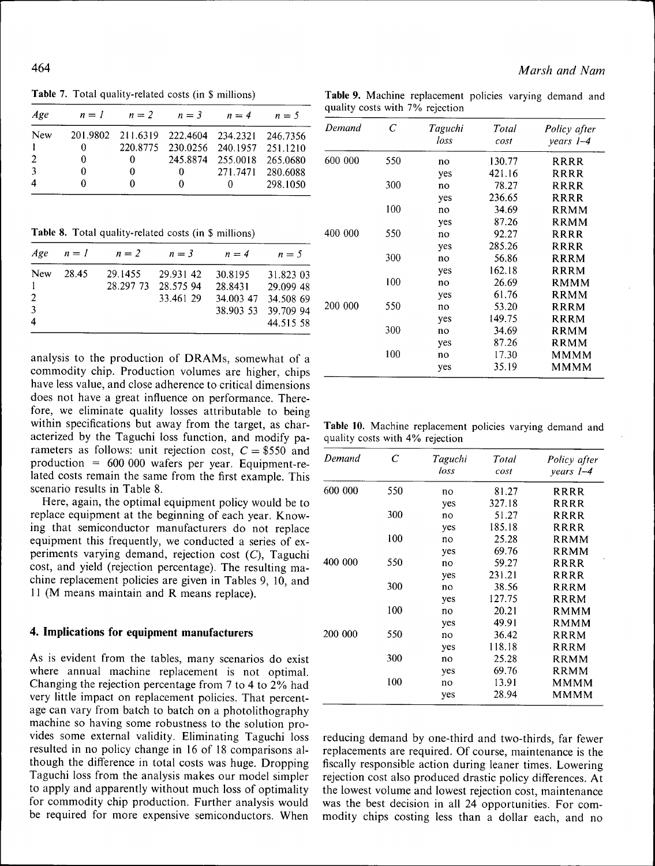**Fable** 7. Total quality-related costs (in \$ millions)

| Age              |        |          | $n=1$ $n=2$ $n=3$ $n=4$                      |                            | $n=5$    |
|------------------|--------|----------|----------------------------------------------|----------------------------|----------|
| <b>New</b>       |        |          | 201.9802 211.6319 222.4604 234.2321 246.7356 |                            |          |
| $\mathbf{1}$     | 0      |          | 220.8775 230.0256 240.1957 251.1210          |                            |          |
| $\mathfrak{D}$   | $_{0}$ | $\theta$ |                                              | 245.8874 255.0018 265.0680 |          |
| -3               | 0      | 0        | 0                                            | 271.7471 280.6088          |          |
| $\boldsymbol{4}$ | ∩      | 0        | ∩                                            | $\Omega$                   | 298.1050 |

**Table 8.** Total quality-related costs (in \$ millions)

| Age                                   | $n=1$ | $n=2$   | $n=3$                                         | $n=4$                           | $n=5$                                                                   |
|---------------------------------------|-------|---------|-----------------------------------------------|---------------------------------|-------------------------------------------------------------------------|
| <b>New</b><br>$\mathcal{L}$<br>3<br>4 | 28.45 | 29.1455 | 29.931 42<br>28.297 73 28.575 94<br>33.461 29 | 30.8195<br>28.8431<br>34.003 47 | 31.823 03<br>29.099 48<br>34.508.69<br>38.903 53 39.709 94<br>44.515.58 |

analysis to the production of DRAMs, somewhat of a commodity chip. Production volumes are higher, chips have less value, and close adherence to critical dimensions does not have a great influence on performance. Therefore, we eliminate quality losses attributable to being within specifications but away from the target, as characterized by the Taguchi loss function, and modify parameters as follows: unit rejection cost,  $C = $550$  and production  $= 600 000$  wafers per year. Equipment-related costs remain the same from the first example. This scenario results in Table 8.

Here, again, the optimal equipment policy would be to replace equipment at the beginning of each year. Knowing that semiconductor manufacturers do not replace equipment this frequently, we conducted a series of experiments varying demand, rejection cost (Q, Taguchi cost, and yield (rejection percentage). The resulting machine replacement policies are given in Tables 9, 10, and 11 (M means maintain and R means replace).

### **4. Implications for equipment manufacturers**

As is evident from the tables, many scenarios do exist where annual machine replacement is not optimal. Changing the rejection percentage from 7 to 4 to 2% had very little impact on replacement policies. That percentage can vary from batch to batch on a photolithography machine so having some robustness to the solution provides some external validity. Eliminating Taguchi loss resulted in no policy change in 16 of 18 comparisons although the difference in total costs was huge. Dropping Taguchi loss from the analysis makes our model simpler to apply and apparently without much loss of optimality for commodity chip production. Further analysis would be required for more expensive semiconductors. When

**Table 9.** Machine replacement policies varying demand and quality costs with 7% rejection

| Demand  | C   | Taguchi<br>loss | Total<br>cost | Policy after<br>$years$ $1-4$ |
|---------|-----|-----------------|---------------|-------------------------------|
| 600 000 | 550 | no              | 130.77        | RRRR                          |
|         |     | yes             | 421.16        | RRRR                          |
|         | 300 | no              | 78.27         | RRRR                          |
|         |     | yes             | 236.65        | <b>RRRR</b>                   |
|         | 100 | no              | 34.69         | RRMM                          |
|         |     | yes             | 87.26         | RRMM                          |
| 400 000 | 550 | no              | 92.27         | <b>RRRR</b>                   |
|         |     | yes             | 285.26        | RRRR                          |
|         | 300 | no              | 56.86         | RRRM                          |
|         |     | yes             | 162.18        | <b>RRRM</b>                   |
|         | 100 | no              | 26.69         | RMMM                          |
|         |     | yes             | 61.76         | RRMM                          |
| 200 000 | 550 | no              | 53.20         | RRRM                          |
|         |     | yes             | 149.75        | RRRM                          |
|         | 300 | no              | 34.69         | RRMM                          |
|         |     | yes             | 87.26         | RRMM                          |
|         | 100 | no              | 17.30         | <b>MMMM</b>                   |
|         |     | yes             | 35.19         | MMMM                          |

**Table** 10. Machine replacement policies varying demand and quality costs with 4% rejection

| Demand  | C   | Taguchi<br>loss | Total<br>cost | Policy after<br>$years$ $1-4$ |
|---------|-----|-----------------|---------------|-------------------------------|
| 600 000 | 550 | no              | 81.27         | <b>RRRR</b>                   |
|         |     | yes             | 327.18        | <b>RRRR</b>                   |
|         | 300 | no              | 51.27         | RRRR                          |
|         |     | yes             | 185.18        | RRRR                          |
|         | 100 | no              | 25.28         | RRMM                          |
|         |     | yes             | 69.76         | RRMM                          |
| 400 000 | 550 | no              | 59.27         | RRRR                          |
|         |     | yes             | 231.21        | RRRR                          |
|         | 300 | no              | 38.56         | RRRM                          |
|         |     | yes             | 127.75        | RRRM                          |
|         | 100 | no              | 20.21         | RMMM                          |
|         |     | yes             | 49.91         | RMMM                          |
| 200 000 | 550 | no              | 36.42         | RRRM                          |
|         |     | yes             | 118.18        | RRRM                          |
|         | 300 | no              | 25.28         | RRMM                          |
|         |     | yes             | 69.76         | RRMM                          |
|         | 100 | no              | 13.91         | MMMM                          |
|         |     | yes             | 28.94         | MMMM                          |

reducing demand by one-third and two-thirds, far fewer replacements are required. Of course, maintenance is the fiscally responsible action during leaner times. Lowering rejection cost also produced drastic policy differences. At the lowest volume and lowest rejection cost, maintenance was the best decision in all 24 opportunities. For commodity chips costing less than a dollar each, and no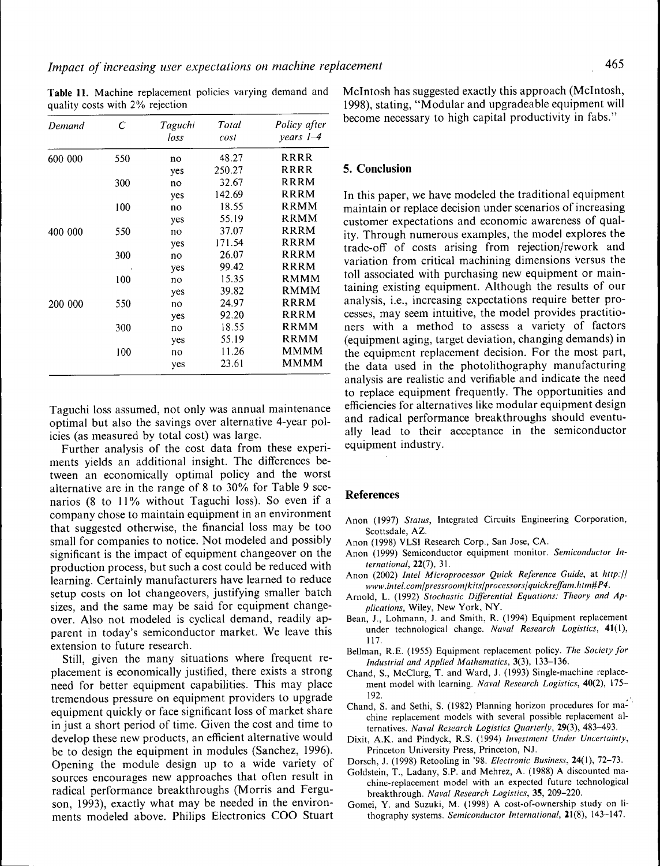**Table 11.** Machine replacement policies varying demand and quality costs with 2% rejection

| Demand  | C   | Taguchi<br>loss | Total<br>cost | Policy after<br>$years$ $1-4$ |
|---------|-----|-----------------|---------------|-------------------------------|
| 600 000 | 550 | no              | 48.27         | <b>RRRR</b>                   |
|         |     | yes             | 250.27        | RRRR                          |
|         | 300 | no              | 32.67         | RRRM                          |
|         |     | yes             | 142.69        | <b>RRRM</b>                   |
|         | 100 | no              | 18.55         | RRMM                          |
|         |     | yes             | 55.19         | RRMM                          |
| 400 000 | 550 | no              | 37.07         | <b>RRRM</b>                   |
|         |     | yes             | 171.54        | <b>RRRM</b>                   |
|         | 300 | no              | 26.07         | <b>RRRM</b>                   |
|         |     | yes             | 99.42         | <b>RRRM</b>                   |
|         | 100 | no              | 15.35         | <b>RMMM</b>                   |
|         |     | yes             | 39.82         | <b>RMMM</b>                   |
| 200 000 | 550 | no              | 24.97         | RRRM                          |
|         |     | yes             | 92.20         | RRRM                          |
|         | 300 | no              | 18.55         | <b>RRMM</b>                   |
|         |     | yes             | 55.19         | <b>RRMM</b>                   |
|         | 100 | no              | 11.26         | <b>MMMM</b>                   |
|         |     | yes             | 23.61         | <b>MMMM</b>                   |

Taguchi loss assumed, not only was annual maintenance optimal but also the savings over alternative 4-year policies (as measured by total cost) was large.

Further analysis of the cost data from these experiments yields an additional insight. The differences between an economically optimal policy and the worst alternative are in the range of 8 to 30% for Table 9 scenarios (8 to 11% without Taguchi loss). So even if a company chose to maintain equipment in an environment that suggested otherwise, the financial loss may be too small for companies to notice. Not modeled and possibly significant is the impact of equipment changeover on the production process, but such a cost could be reduced with learning. Certainly manufacturers have learned to reduce setup costs on lot changeovers, justifying smaller batch sizes, and the same may be said for equipment changeover. Also not modeled is cyclical demand, readily apparent in today's semiconductor market. We leave this extension to future research.

Still, given the many situations where frequent replacement is economically justified, there exists a strong need for better equipment capabilities. This may place tremendous pressure on equipment providers to upgrade equipment quickly or face significant loss of market share in just a short period of time. Given the cost and time to develop these new products, an efficient alternative would be to design the equipment in modules (Sanchez, 1996). Opening the module design up to a wide variety of sources encourages new approaches that often result in radical performance breakthroughs (Morris and Ferguson, 1993), exactly what may be needed in the environments modeled above. Philips Electronics COO Stuart Mclntosh has suggested exactly this approach (Mclntosh, 1998), stating, "Modular and upgradeable equipment will become necessary to high capital productivity in fabs."

#### **5. Conclusion**

In this paper, we have modeled the traditional equipment maintain or replace decision under scenarios of increasing customer expectations and economic awareness of quality. Through numerous examples, the model explores the trade-off of costs arising from rejection/rework and variation from critical machining dimensions versus the toll associated with purchasing new equipment or maintaining existing equipment. Although the results of our analysis, i.e., increasing expectations require better processes, may seem intuitive, the model provides practitioners with a method to assess a variety of factors (equipment aging, target deviation, changing demands) in the equipment replacement decision. For the most part, the data used in the photolithography manufacturing analysis are realistic and verifiable and indicate the need to replace equipment frequently. The opportunities and efficiencies for alternatives like modular equipment design and radical performance breakthroughs should eventually lead to their acceptance in the semiconductor equipment industry.

# **References**

- Anon (1997) *Status,* Integrated Circuits Engineering Corporation, Scottsdale, AZ.
- Anon (1998) VLSI Research Corp., San Jose, CA.
- Anon (1999) Semiconductor equipment monitor. *Semiconductor International,* 22(7), 31.
- Anon (2002) *Intel Microprocessor Quick Reference Guide,* at *http:// www.intel.comlpressroomlkitslprocessorslquickreffam.lttm#P4.*
- Arnold, L. (1992) *Stochastic Differentiat Equations: Theory and Applications,* Wiley, New York, NY.
- Bean, J., Lohmann, J. and Smith, R. (1994) Equipment replacement under technological change. *Naval Research Logistics,* 41(1), 117.
- Bellman, R.E. (1955) Equipment replacement policy. *The Society for Industrial and Applied Mathematics,* 3(3), 133-136.
- Chand, S., McClurg, T. and Ward, J. (1993) Single-machine replacement model with learning. *Naval Research Logistics,* 40(2), 175- 192.
- Chand, S. and Sethi, S. (1982) Planning horizon procedures for machine replacement models with several possible replacement alternatives. *Naval Research Logistics Quarterly,* 29(3), 483-493.
- Dixit, A.K. and Pindyck, R.S. (1994) *Investment Under Uncertainty,* Princeton University Press, Princeton, NJ.
- Dorsch, J. (1998) Retooling in '98. *Electronic Business,* 24(1), 72-73.
- Goldstein, T., Ladany, S.P. and Mehrez, A. (1988) A discounted machine-replacement model with an expected future technological breakthrough. *Naval Research Logistics,* 35, 209-220.
- Gomei, Y. and Suzuki, M. (1998) A cost-of-ownership study on lithography systems. *Semiconductor International,* 21(8), 143-147.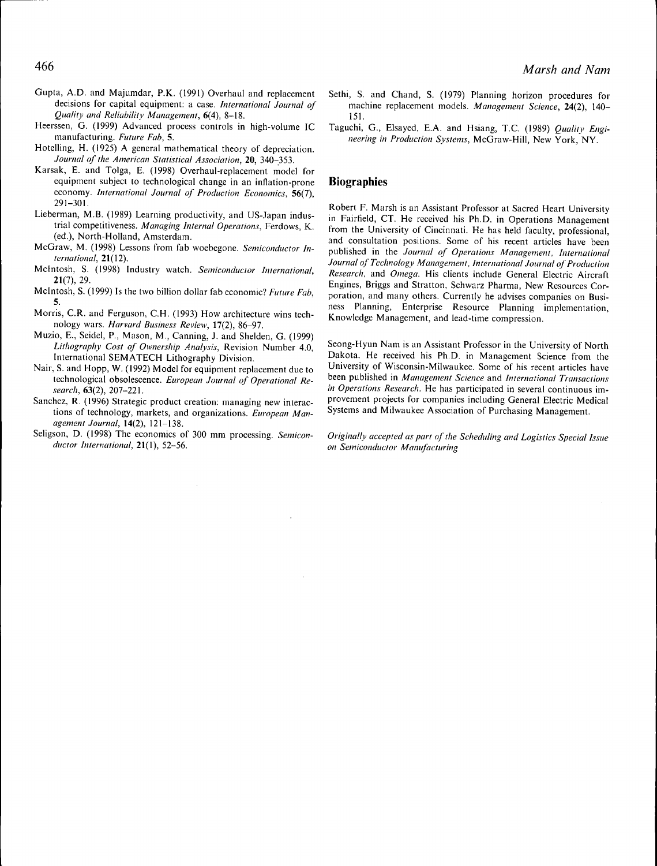- Gupta, A.D. and Majumdar, P.K. (1991) Overhaul and replacement decisions for capital equipment: a case. *Internationat Joumai of Quatity and Retiahitity Management,* 6(4), 8-18.
- Heerssen, G. (1999) Advanced process controls in high-volume IC manufacturing. *Future Fah,* 5.
- Hotelling, H. (1925) A general mathematical theory of depreciation. *Joumai of tiie American Statisticai Association,* 20, 340-353.
- Karsak, E. and Tolga, E. (1998) Overhaul-replacement model for equipment subject to technological change in an inflation-prone economy. *Internationat Journat of Production Economics,* 56(7), 291-301.
- Lieberman, M.B. (1989) Learning productivity, and US-Japan industrial competitiveness. *Managing Internat Operations,* Ferdows, K. (ed.), North-Holland, Amsterdam.
- McGraw, M. (1998) Lessons from fab woebegone. *Semiconductor Internationat,* 21(12).
- Mclntosh, S. (1998) Industry watch. *Semiconductor International,* 21(7), 29.
- Mclntosh, S. (1999) Is the two billion dollar fab economic? *Future Fab,* 5.
- Morris, C.R. and Ferguson, C.H. (1993) How architecture wins technology wars. Harvard Business Review, 17(2), 86-97.
- Muzio, E., Seidel, P., Mason, M., Canning, J. and Shelden, G. (1999) *Lithography Cost of Ownership Analysis,* Revision Number 4.0, International SEMATECH Lithography Division.
- Nair, S. and Hopp, W. (1992) Model for equipment replacement due to technological obsolescence. *European Journal of Operational Research, 63(2),* 207-221.
- Sanchez, R. (1996) Strategic product creation: managing new interactions of technology, markets, and organizations. *European Management Journat,* 14(2), 121-138.
- Seligson, D. (1998) The economics of 300 mm processing. *Semiconductor Internationat,* **21(1),** 52-56.
- Sethi, S. and Chand, S. (1979) Planning horizon procedures for machine replacement models. *Management Science,* 24(2), 140- 151.
- Taguchi, G., Elsayed, E.A. and Hsiang, T.C. (1989) *Quatity Engineering in Production Systems, McGraw-Hill, New York, NY.*

#### **Biographies**

Robert F. Marsh is an Assistant Professor at Sacred Heart University in Fairfield, CT. He received his Ph.D. in Operations Management from the University of Cincinnati. He has held faculty, professional, and consultation positions. Some of his recent articles have been published in the *Journat of Operations Management. Internationat Journal of Tectmotogy Management, International Journal of Production Research,* and *Omega.* His clients include General Electric Aircraft Engines, Briggs and Stratton, Schwarz Pharma, New Resources Corporation, and many others. Currently he advises companies on Business Planning, Enterprise Resource Planning implementation. Knowledge Management, and lead-time compression.

Seong-Hyun Nam is an Assistant Professor in the University of North Dakota. He received his Ph.D. in Management Science from the University of Wisconsin-Milwaukee. Some of his recent articles have been published in *Management Science* and *Internationat Transactions in Operations Research.* He has participated in several continuous improvement projects for companies including General Electric Medical Systems and Milwaukee Association of Purchasing Management.

*Originally accepted as part of the Scheduling and Logistics Special Issue on Semiconductor Manufacturing*